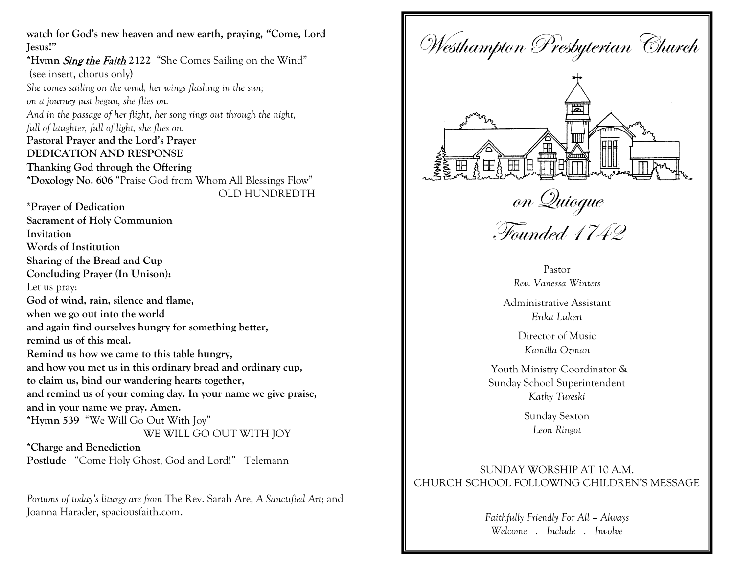**watch for God's new heaven and new earth, praying, "Come, Lord Jesus!" \*Hymn** Sing the Faith **2122** "She Comes Sailing on the Wind" (see insert, chorus only) *She comes sailing on the wind, her wings flashing in the sun; on a journey just begun, she flies on. And in the passage of her flight, her song rings out through the night, full of laughter, full of light, she flies on.* **Pastoral Prayer and the Lord's Prayer DEDICATION AND RESPONSE Thanking God through the Offering** **\*Doxology No. 606** "Praise God from Whom All Blessings Flow"OLD HUNDREDTH **\*Prayer of Dedication Sacrament of Holy Communion Invitation Words of Institution Sharing of the Bread and Cup Concluding Prayer (In Unison):** Let us pray: **God of wind, rain, silence and flame, when we go out into the world and again find ourselves hungry for something better, remind us of this meal. Remind us how we came to this table hungry, and how you met us in this ordinary bread and ordinary cup, to claim us, bind our wandering hearts together, and remind us of your coming day. In your name we give praise, and in your name we pray. Amen. \*Hymn 539** "We Will Go Out With Joy" WE WILL GO OUT WITH JOY

**\*Charge and Benediction Postlude** "Come Holy Ghost, God and Lord!" Telemann

*Portions of today's liturgy are from* The Rev. Sarah Are, *A Sanctified Art*; and Joanna Harader, spaciousfaith.com.



*Welcome . Include . Involve*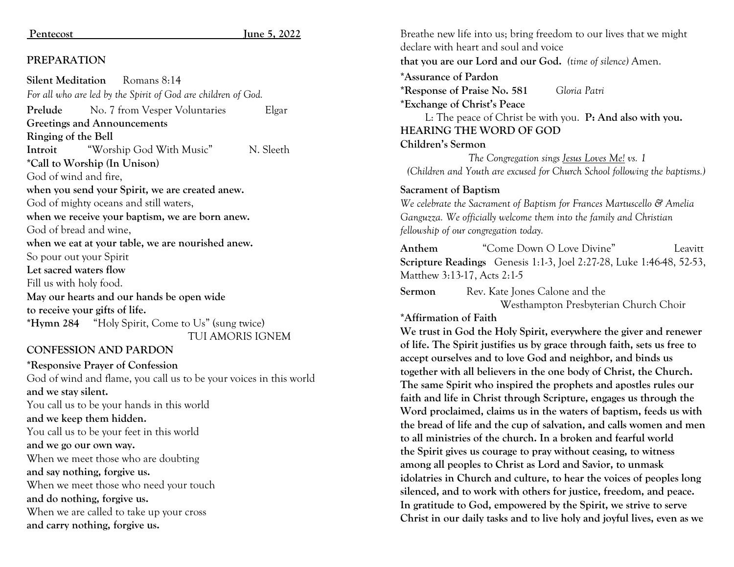#### Pentecost June 5, 2022

#### **PREPARATION**

**Silent Meditation** Romans 8:14 *For all who are led by the Spirit of God are children of God.* **Prelude** No. 7 from Vesper Voluntaries Elgar **Greetings and Announcements Ringing of the Bell Introit** "Worship God With Music" N. Sleeth **\*Call to Worship (In Unison)** God of wind and fire, **when you send your Spirit, we are created anew.** God of mighty oceans and still waters, **when we receive your baptism, we are born anew.** God of bread and wine, **when we eat at your table, we are nourished anew.** So pour out your Spirit **Let sacred waters flow** Fill us with holy food. **May our hearts and our hands be open wide to receive your gifts of life. \*Hymn 284** "Holy Spirit, Come to Us" (sung twice) TUI AMORIS IGNEM

#### **CONFESSION AND PARDON**

**\*Responsive Prayer of Confession** God of wind and flame, you call us to be your voices in this world **and we stay silent.** You call us to be your hands in this world **and we keep them hidden.** You call us to be your feet in this world **and we go our own way.** When we meet those who are doubting **and say nothing, forgive us.** When we meet those who need your touch **and do nothing, forgive us.** When we are called to take up your cross **and carry nothing, forgive us.**

Breathe new life into us; bring freedom to our lives that we might declare with heart and soul and voice **that you are our Lord and our God.** *(time of silence)* Amen. **\*Assurance of Pardon \*Response of Praise No. 581** *Gloria Patri* **\*Exchange of Christ's Peace** L: The peace of Christ be with you. **P: And also with you. HEARING THE WORD OF GOD Children's Sermon**  *The Congregation sings Jesus Loves Me! vs. 1 (Children and Youth are excused for Church School following the baptisms.)*  **Sacrament of Baptism** *We celebrate the Sacrament of Baptism for Frances Martuscello & Amelia Ganguzza. We officially welcome them into the family and Christian fellowship of our congregation today.*  **Anthem** "Come Down O Love Divine" Leavitt **Scripture Readings** Genesis 1:1-3, Joel 2:27-28, Luke 1:46-48, 52-53, Matthew 3:13-17, Acts 2:1-5 **Sermon** Rev. Kate Jones Calone and the Westhampton Presbyterian Church Choir **\*Affirmation of Faith We trust in God the Holy Spirit, everywhere the giver and renewer of life. The Spirit justifies us by grace through faith, sets us free to accept ourselves and to love God and neighbor, and binds us together with all believers in the one body of Christ, the Church. The same Spirit who inspired the prophets and apostles rules our faith and life in Christ through Scripture, engages us through the Word proclaimed, claims us in the waters of baptism, feeds us with the bread of life and the cup of salvation, and calls women and men to all ministries of the church. In a broken and fearful world the Spirit gives us courage to pray without ceasing, to witness among all peoples to Christ as Lord and Savior, to unmask idolatries in Church and culture, to hear the voices of peoples long silenced, and to work with others for justice, freedom, and peace. In gratitude to God, empowered by the Spirit, we strive to serve Christ in our daily tasks and to live holy and joyful lives, even as we**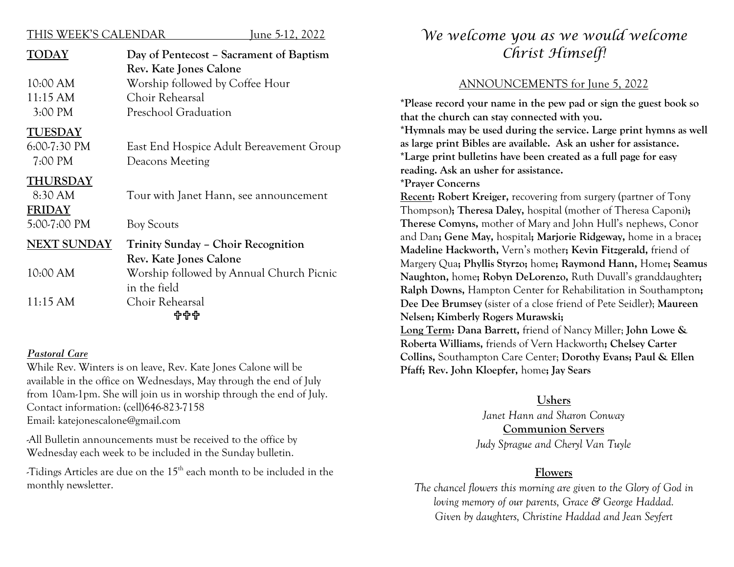#### THIS WEEK'S CALENDAR June 5-12, 2022

| TODAY                                               | Day of Pentecost – Sacrament of Baptism<br>Rev. Kate Jones Calone |
|-----------------------------------------------------|-------------------------------------------------------------------|
| 10:00 AM                                            | Worship followed by Coffee Hour                                   |
| 11:15 AM                                            | Choir Rehearsal                                                   |
| 3:00 PM                                             | Preschool Graduation                                              |
| <b>TUESDAY</b><br>$6:00-7:30 \text{ PM}$<br>7:00 PM | East End Hospice Adult Bereavement Group<br>Deacons Meeting       |
| THURSDAY<br>8:30 AM<br><b>FRIDAY</b>                | Tour with Janet Hann, see announcement                            |
| 5:00-7:00 PM                                        | <b>Boy Scouts</b>                                                 |
| <b>NEXT SUNDAY</b>                                  | Trinity Sunday - Choir Recognition<br>Rev. Kate Jones Calone      |
| 10:00 AM                                            | Worship followed by Annual Church Picnic<br>in the field          |
| 11:15 AM                                            | Choir Rehearsal<br>444                                            |

#### *Pastoral Care*

While Rev. Winters is on leave, Rev. Kate Jones Calone will be available in the office on Wednesdays, May through the end of July from 10am-1pm. She will join us in worship through the end of July. Contact information: (cell)646-823-7158 Email: katejonescalone@gmail.com

-All Bulletin announcements must be received to the office by Wednesday each week to be included in the Sunday bulletin.

-Tidings Articles are due on the 15th each month to be included in the monthly newsletter.

# *We welcome you as we would welcome Christ Himself!*

## ANNOUNCEMENTS for June 5, 2022

**\*Please record your name in the pew pad or sign the guest book so that the church can stay connected with you.**

**\*Hymnals may be used during the service. Large print hymns as well as large print Bibles are available. Ask an usher for assistance. \*Large print bulletins have been created as a full page for easy reading. Ask an usher for assistance.**

**\*Prayer Concerns** 

**Recent: Robert Kreiger,** recovering from surgery (partner of Tony Thompson)**; Theresa Daley,** hospital (mother of Theresa Caponi**); Therese Comyns,** mother of Mary and John Hull's nephews, Conor and Dan**; Gene May,** hospital**; Marjorie Ridgeway,** home in a brace**; Madeline Hackworth,** Vern's mother**; Kevin Fitzgerald,** friend of Margery Qua**; Phyllis Styrzo;** home**; Raymond Hann,** Home**; Seamus Naughton,** home**; Robyn DeLorenzo,** Ruth Duvall's granddaughter**; Ralph Downs,** Hampton Center for Rehabilitation in Southampton**; Dee Dee Brumsey** (sister of a close friend of Pete Seidler); **Maureen Nelsen; Kimberly Rogers Murawski;** 

**Long Term: Dana Barrett,** friend of Nancy Miller; **John Lowe & Roberta Williams,** friends of Vern Hackworth**; Chelsey Carter Collins,** Southampton Care Center; **Dorothy Evans; Paul & Ellen Pfaff; Rev. John Kloepfer,** home**; Jay Sears**

## **Ushers**

*Janet Hann and Sharon Conway* **Communion Servers** *Judy Sprague and Cheryl Van Tuyle*

#### **Flowers**

*The chancel flowers this morning are given to the Glory of God in loving memory of our parents, Grace & George Haddad. Given by daughters, Christine Haddad and Jean Seyfert*